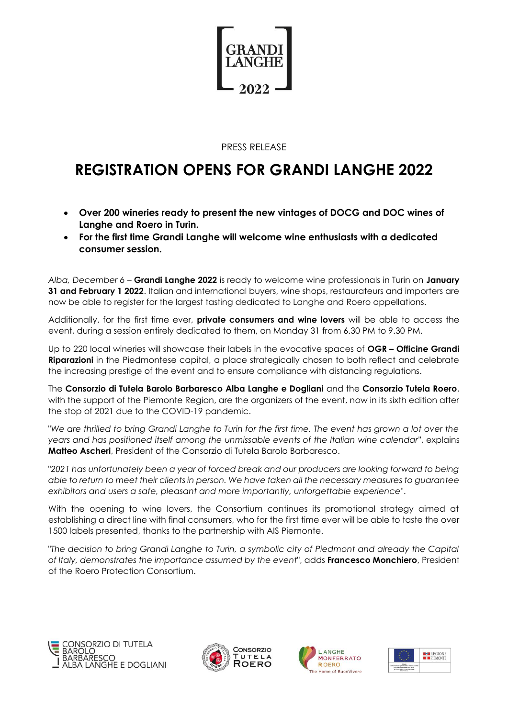

## PRESS RELEASE

# **REGISTRATION OPENS FOR GRANDI LANGHE 2022**

- **Over 200 wineries ready to present the new vintages of DOCG and DOC wines of Langhe and Roero in Turin.**
- **For the first time Grandi Langhe will welcome wine enthusiasts with a dedicated consumer session.**

*Alba, December 6* – **Grandi Langhe 2022** is ready to welcome wine professionals in Turin on **January 31 and February 1 2022**. Italian and international buyers, wine shops, restaurateurs and importers are now be able to register for the largest tasting dedicated to Langhe and Roero appellations.

Additionally, for the first time ever, **private consumers and wine lovers** will be able to access the event, during a session entirely dedicated to them, on Monday 31 from 6.30 PM to 9.30 PM.

Up to 220 local wineries will showcase their labels in the evocative spaces of **OGR – Officine Grandi Riparazioni** in the Piedmontese capital, a place strategically chosen to both reflect and celebrate the increasing prestige of the event and to ensure compliance with distancing regulations.

The **Consorzio di Tutela Barolo Barbaresco Alba Langhe e Dogliani** and the **Consorzio Tutela Roero**, with the support of the Piemonte Region, are the organizers of the event, now in its sixth edition after the stop of 2021 due to the COVID-19 pandemic.

"*We are thrilled to bring Grandi Langhe to Turin for the first time. The event has grown a lot over the years and has positioned itself among the unmissable events of the Italian wine calendar*", explains **Matteo Ascheri**, President of the Consorzio di Tutela Barolo Barbaresco.

"*2021 has unfortunately been a year of forced break and our producers are looking forward to being able to return to meet their clients in person. We have taken all the necessary measures to guarantee exhibitors and users a safe, pleasant and more importantly, unforgettable experience*".

With the opening to wine lovers, the Consortium continues its promotional strategy aimed at establishing a direct line with final consumers, who for the first time ever will be able to taste the over 1500 labels presented, thanks to the partnership with AIS Piemonte.

"*The decision to bring Grandi Langhe to Turin, a symbolic city of Piedmont and already the Capital of Italy, demonstrates the importance assumed by the event*", adds **Francesco Monchiero**, President of the Roero Protection Consortium.